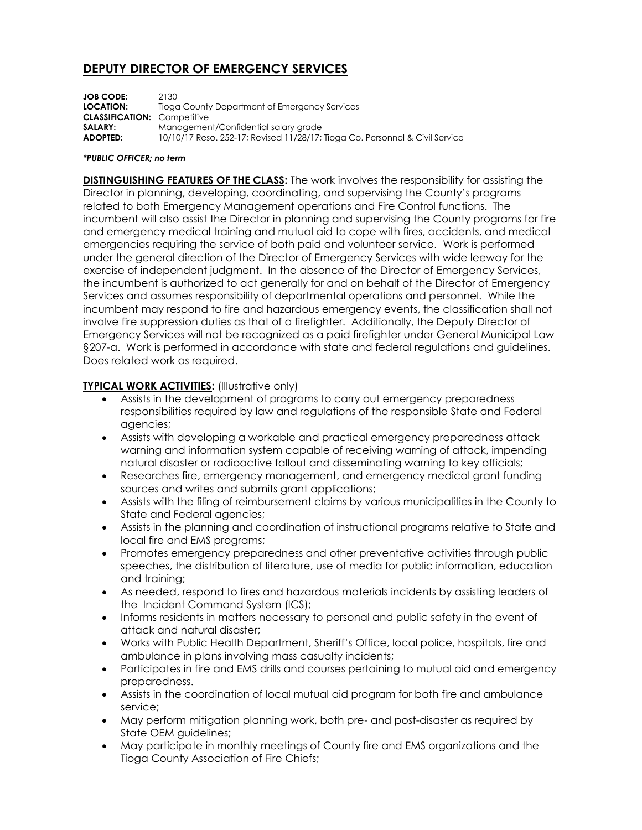# **DEPUTY DIRECTOR OF EMERGENCY SERVICES**

| <b>JOB CODE:</b><br><b>LOCATION:</b> | 2130<br>Tioga County Department of Emergency Services                        |
|--------------------------------------|------------------------------------------------------------------------------|
| <b>CLASSIFICATION: Competitive</b>   |                                                                              |
| SALARY:                              | Management/Confidential salary grade                                         |
| <b>ADOPTED:</b>                      | 10/10/17 Reso. 252-17; Revised 11/28/17; Tioga Co. Personnel & Civil Service |

#### *\*PUBLIC OFFICER; no term*

**DISTINGUISHING FEATURES OF THE CLASS:** The work involves the responsibility for assisting the Director in planning, developing, coordinating, and supervising the County's programs related to both Emergency Management operations and Fire Control functions. The incumbent will also assist the Director in planning and supervising the County programs for fire and emergency medical training and mutual aid to cope with fires, accidents, and medical emergencies requiring the service of both paid and volunteer service. Work is performed under the general direction of the Director of Emergency Services with wide leeway for the exercise of independent judgment. In the absence of the Director of Emergency Services, the incumbent is authorized to act generally for and on behalf of the Director of Emergency Services and assumes responsibility of departmental operations and personnel. While the incumbent may respond to fire and hazardous emergency events, the classification shall not involve fire suppression duties as that of a firefighter. Additionally, the Deputy Director of Emergency Services will not be recognized as a paid firefighter under General Municipal Law §207-a. Work is performed in accordance with state and federal regulations and guidelines. Does related work as required.

## **TYPICAL WORK ACTIVITIES:** (Illustrative only)

- Assists in the development of programs to carry out emergency preparedness responsibilities required by law and regulations of the responsible State and Federal agencies;
- Assists with developing a workable and practical emergency preparedness attack warning and information system capable of receiving warning of attack, impending natural disaster or radioactive fallout and disseminating warning to key officials;
- Researches fire, emergency management, and emergency medical grant funding sources and writes and submits grant applications;
- Assists with the filing of reimbursement claims by various municipalities in the County to State and Federal agencies;
- Assists in the planning and coordination of instructional programs relative to State and local fire and EMS programs;
- Promotes emergency preparedness and other preventative activities through public speeches, the distribution of literature, use of media for public information, education and training;
- As needed, respond to fires and hazardous materials incidents by assisting leaders of the Incident Command System (ICS);
- Informs residents in matters necessary to personal and public safety in the event of attack and natural disaster;
- Works with Public Health Department, Sheriff's Office, local police, hospitals, fire and ambulance in plans involving mass casualty incidents;
- Participates in fire and EMS drills and courses pertaining to mutual aid and emergency preparedness.
- Assists in the coordination of local mutual aid program for both fire and ambulance service;
- May perform mitigation planning work, both pre- and post-disaster as required by State OEM guidelines;
- May participate in monthly meetings of County fire and EMS organizations and the Tioga County Association of Fire Chiefs;